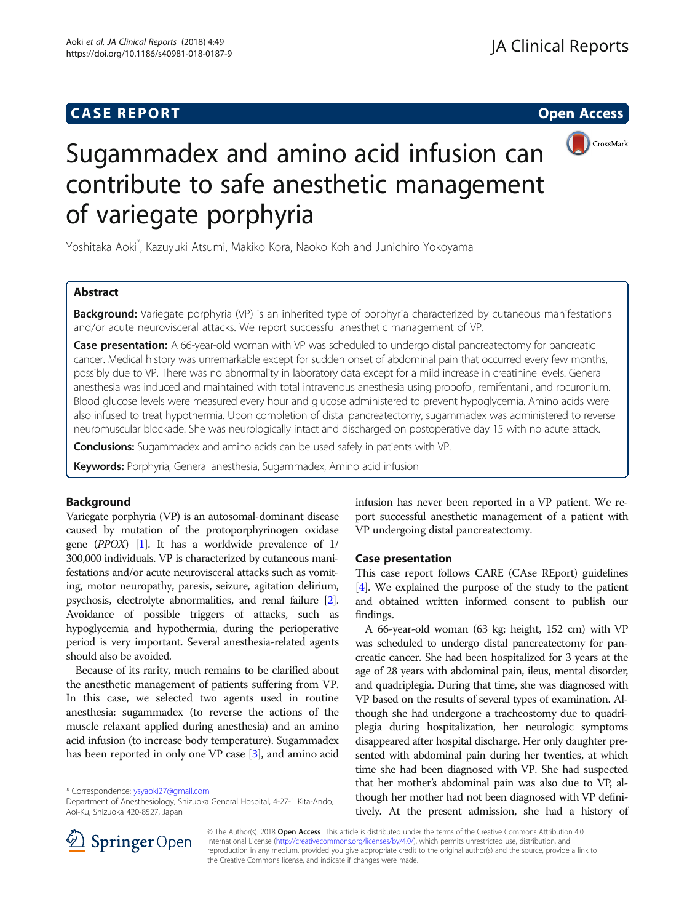# **CASE REPORT CASE REPORT CASE REPORT**



# Sugammadex and amino acid infusion can contribute to safe anesthetic management of variegate porphyria

Yoshitaka Aoki\* , Kazuyuki Atsumi, Makiko Kora, Naoko Koh and Junichiro Yokoyama

# Abstract

**Background:** Variegate porphyria (VP) is an inherited type of porphyria characterized by cutaneous manifestations and/or acute neurovisceral attacks. We report successful anesthetic management of VP.

Case presentation: A 66-year-old woman with VP was scheduled to undergo distal pancreatectomy for pancreatic cancer. Medical history was unremarkable except for sudden onset of abdominal pain that occurred every few months, possibly due to VP. There was no abnormality in laboratory data except for a mild increase in creatinine levels. General anesthesia was induced and maintained with total intravenous anesthesia using propofol, remifentanil, and rocuronium. Blood glucose levels were measured every hour and glucose administered to prevent hypoglycemia. Amino acids were also infused to treat hypothermia. Upon completion of distal pancreatectomy, sugammadex was administered to reverse neuromuscular blockade. She was neurologically intact and discharged on postoperative day 15 with no acute attack.

**Conclusions:** Sugammadex and amino acids can be used safely in patients with VP.

Keywords: Porphyria, General anesthesia, Sugammadex, Amino acid infusion

# Background

Variegate porphyria (VP) is an autosomal-dominant disease caused by mutation of the protoporphyrinogen oxidase gene  $(PPOX)$  [\[1\]](#page-2-0). It has a worldwide prevalence of 1/ 300,000 individuals. VP is characterized by cutaneous manifestations and/or acute neurovisceral attacks such as vomiting, motor neuropathy, paresis, seizure, agitation delirium, psychosis, electrolyte abnormalities, and renal failure [[2](#page-2-0)]. Avoidance of possible triggers of attacks, such as hypoglycemia and hypothermia, during the perioperative period is very important. Several anesthesia-related agents should also be avoided.

Because of its rarity, much remains to be clarified about the anesthetic management of patients suffering from VP. In this case, we selected two agents used in routine anesthesia: sugammadex (to reverse the actions of the muscle relaxant applied during anesthesia) and an amino acid infusion (to increase body temperature). Sugammadex has been reported in only one VP case [\[3\]](#page-2-0), and amino acid

\* Correspondence: [ysyaoki27@gmail.com](mailto:ysyaoki27@gmail.com)

infusion has never been reported in a VP patient. We report successful anesthetic management of a patient with VP undergoing distal pancreatectomy.

# Case presentation

This case report follows CARE (CAse REport) guidelines [[4](#page-2-0)]. We explained the purpose of the study to the patient and obtained written informed consent to publish our findings.

A 66-year-old woman (63 kg; height, 152 cm) with VP was scheduled to undergo distal pancreatectomy for pancreatic cancer. She had been hospitalized for 3 years at the age of 28 years with abdominal pain, ileus, mental disorder, and quadriplegia. During that time, she was diagnosed with VP based on the results of several types of examination. Although she had undergone a tracheostomy due to quadriplegia during hospitalization, her neurologic symptoms disappeared after hospital discharge. Her only daughter presented with abdominal pain during her twenties, at which time she had been diagnosed with VP. She had suspected that her mother's abdominal pain was also due to VP, although her mother had not been diagnosed with VP definitively. At the present admission, she had a history of



© The Author(s). 2018 Open Access This article is distributed under the terms of the Creative Commons Attribution 4.0 International License ([http://creativecommons.org/licenses/by/4.0/\)](http://creativecommons.org/licenses/by/4.0/), which permits unrestricted use, distribution, and reproduction in any medium, provided you give appropriate credit to the original author(s) and the source, provide a link to the Creative Commons license, and indicate if changes were made.

Department of Anesthesiology, Shizuoka General Hospital, 4-27-1 Kita-Ando, Aoi-Ku, Shizuoka 420-8527, Japan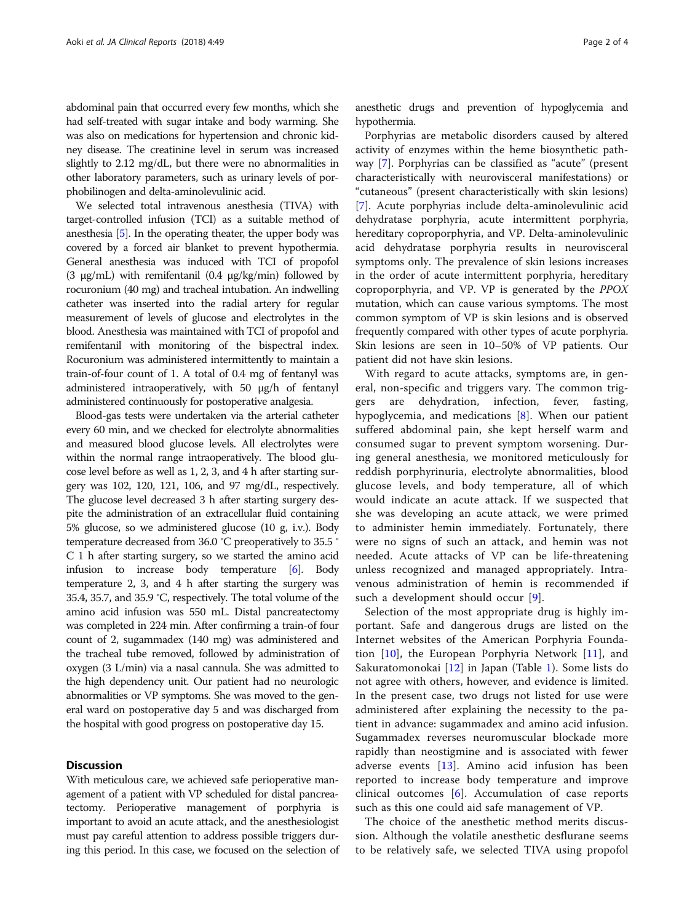abdominal pain that occurred every few months, which she had self-treated with sugar intake and body warming. She was also on medications for hypertension and chronic kidney disease. The creatinine level in serum was increased slightly to 2.12 mg/dL, but there were no abnormalities in other laboratory parameters, such as urinary levels of porphobilinogen and delta-aminolevulinic acid.

We selected total intravenous anesthesia (TIVA) with target-controlled infusion (TCI) as a suitable method of anesthesia [\[5](#page-2-0)]. In the operating theater, the upper body was covered by a forced air blanket to prevent hypothermia. General anesthesia was induced with TCI of propofol (3  $\mu$ g/mL) with remifentanil (0.4  $\mu$ g/kg/min) followed by rocuronium (40 mg) and tracheal intubation. An indwelling catheter was inserted into the radial artery for regular measurement of levels of glucose and electrolytes in the blood. Anesthesia was maintained with TCI of propofol and remifentanil with monitoring of the bispectral index. Rocuronium was administered intermittently to maintain a train-of-four count of 1. A total of 0.4 mg of fentanyl was administered intraoperatively, with 50 μg/h of fentanyl administered continuously for postoperative analgesia.

Blood-gas tests were undertaken via the arterial catheter every 60 min, and we checked for electrolyte abnormalities and measured blood glucose levels. All electrolytes were within the normal range intraoperatively. The blood glucose level before as well as 1, 2, 3, and 4 h after starting surgery was 102, 120, 121, 106, and 97 mg/dL, respectively. The glucose level decreased 3 h after starting surgery despite the administration of an extracellular fluid containing 5% glucose, so we administered glucose (10 g, i.v.). Body temperature decreased from 36.0 °C preoperatively to 35.5 ° C 1 h after starting surgery, so we started the amino acid infusion to increase body temperature [\[6](#page-2-0)]. Body temperature 2, 3, and 4 h after starting the surgery was 35.4, 35.7, and 35.9 °C, respectively. The total volume of the amino acid infusion was 550 mL. Distal pancreatectomy was completed in 224 min. After confirming a train-of four count of 2, sugammadex (140 mg) was administered and the tracheal tube removed, followed by administration of oxygen (3 L/min) via a nasal cannula. She was admitted to the high dependency unit. Our patient had no neurologic abnormalities or VP symptoms. She was moved to the general ward on postoperative day 5 and was discharged from the hospital with good progress on postoperative day 15.

## **Discussion**

With meticulous care, we achieved safe perioperative management of a patient with VP scheduled for distal pancreatectomy. Perioperative management of porphyria is important to avoid an acute attack, and the anesthesiologist must pay careful attention to address possible triggers during this period. In this case, we focused on the selection of

anesthetic drugs and prevention of hypoglycemia and hypothermia.

Porphyrias are metabolic disorders caused by altered activity of enzymes within the heme biosynthetic pathway [\[7](#page-2-0)]. Porphyrias can be classified as "acute" (present characteristically with neurovisceral manifestations) or "cutaneous" (present characteristically with skin lesions) [[7\]](#page-2-0). Acute porphyrias include delta-aminolevulinic acid dehydratase porphyria, acute intermittent porphyria, hereditary coproporphyria, and VP. Delta-aminolevulinic acid dehydratase porphyria results in neurovisceral symptoms only. The prevalence of skin lesions increases in the order of acute intermittent porphyria, hereditary coproporphyria, and VP. VP is generated by the PPOX mutation, which can cause various symptoms. The most common symptom of VP is skin lesions and is observed frequently compared with other types of acute porphyria. Skin lesions are seen in 10–50% of VP patients. Our patient did not have skin lesions.

With regard to acute attacks, symptoms are, in general, non-specific and triggers vary. The common triggers are dehydration, infection, fever, fasting, hypoglycemia, and medications [[8\]](#page-2-0). When our patient suffered abdominal pain, she kept herself warm and consumed sugar to prevent symptom worsening. During general anesthesia, we monitored meticulously for reddish porphyrinuria, electrolyte abnormalities, blood glucose levels, and body temperature, all of which would indicate an acute attack. If we suspected that she was developing an acute attack, we were primed to administer hemin immediately. Fortunately, there were no signs of such an attack, and hemin was not needed. Acute attacks of VP can be life-threatening unless recognized and managed appropriately. Intravenous administration of hemin is recommended if such a development should occur [\[9](#page-2-0)].

Selection of the most appropriate drug is highly important. Safe and dangerous drugs are listed on the Internet websites of the American Porphyria Foundation  $[10]$  $[10]$ , the European Porphyria Network  $[11]$  $[11]$ , and Sakuratomonokai [\[12](#page-2-0)] in Japan (Table [1](#page-2-0)). Some lists do not agree with others, however, and evidence is limited. In the present case, two drugs not listed for use were administered after explaining the necessity to the patient in advance: sugammadex and amino acid infusion. Sugammadex reverses neuromuscular blockade more rapidly than neostigmine and is associated with fewer adverse events [\[13](#page-3-0)]. Amino acid infusion has been reported to increase body temperature and improve clinical outcomes [[6\]](#page-2-0). Accumulation of case reports such as this one could aid safe management of VP.

The choice of the anesthetic method merits discussion. Although the volatile anesthetic desflurane seems to be relatively safe, we selected TIVA using propofol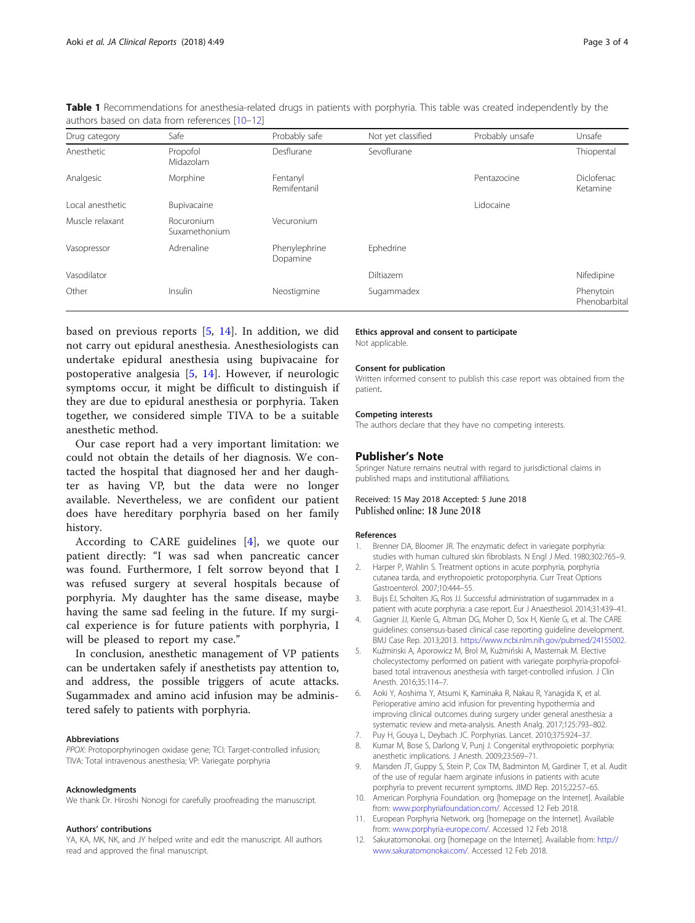| authors based on data from references [10-12] |                             |                           |                    |                 |                            |
|-----------------------------------------------|-----------------------------|---------------------------|--------------------|-----------------|----------------------------|
| Drug category                                 | Safe                        | Probably safe             | Not yet classified | Probably unsafe | Unsafe                     |
| Anesthetic                                    | Propofol<br>Midazolam       | Desflurane                | Sevoflurane        |                 | Thiopental                 |
| Analgesic                                     | Morphine                    | Fentanyl<br>Remifentanil  |                    | Pentazocine     | Diclofenac<br>Ketamine     |
| Local anesthetic                              | Bupivacaine                 |                           |                    | Lidocaine       |                            |
| Muscle relaxant                               | Rocuronium<br>Suxamethonium | Vecuronium                |                    |                 |                            |
| Vasopressor                                   | Adrenaline                  | Phenylephrine<br>Dopamine | Ephedrine          |                 |                            |
| Vasodilator                                   |                             |                           | Diltiazem          |                 | Nifedipine                 |
| Other                                         | Insulin                     | Neostigmine               | Sugammadex         |                 | Phenytoin<br>Phenobarbital |

<span id="page-2-0"></span>Table 1 Recommendations for anesthesia-related drugs in patients with porphyria. This table was created independently by the authors based on data from references [10-12]

based on previous reports [5, [14\]](#page-3-0). In addition, we did not carry out epidural anesthesia. Anesthesiologists can undertake epidural anesthesia using bupivacaine for postoperative analgesia [5, [14\]](#page-3-0). However, if neurologic symptoms occur, it might be difficult to distinguish if they are due to epidural anesthesia or porphyria. Taken together, we considered simple TIVA to be a suitable anesthetic method.

Our case report had a very important limitation: we could not obtain the details of her diagnosis. We contacted the hospital that diagnosed her and her daughter as having VP, but the data were no longer available. Nevertheless, we are confident our patient does have hereditary porphyria based on her family history.

According to CARE guidelines [4], we quote our patient directly: "I was sad when pancreatic cancer was found. Furthermore, I felt sorrow beyond that I was refused surgery at several hospitals because of porphyria. My daughter has the same disease, maybe having the same sad feeling in the future. If my surgical experience is for future patients with porphyria, I will be pleased to report my case."

In conclusion, anesthetic management of VP patients can be undertaken safely if anesthetists pay attention to, and address, the possible triggers of acute attacks. Sugammadex and amino acid infusion may be administered safely to patients with porphyria.

#### Abbreviations

PPOX: Protoporphyrinogen oxidase gene; TCI: Target-controlled infusion; TIVA: Total intravenous anesthesia; VP: Variegate porphyria

#### Acknowledgments

We thank Dr. Hiroshi Nonogi for carefully proofreading the manuscript.

#### Authors' contributions

YA, KA, MK, NK, and JY helped write and edit the manuscript. All authors read and approved the final manuscript.

Ethics approval and consent to participate Not applicable.

#### Consent for publication

Written informed consent to publish this case report was obtained from the patient.

#### Competing interests

The authors declare that they have no competing interests.

### Publisher's Note

Springer Nature remains neutral with regard to jurisdictional claims in published maps and institutional affiliations.

## Received: 15 May 2018 Accepted: 5 June 2018 Published online: 18 June 2018

#### References

- 1. Brenner DA, Bloomer JR. The enzymatic defect in variegate porphyria: studies with human cultured skin fibroblasts. N Engl J Med. 1980;302:765–9.
- 2. Harper P, Wahlin S. Treatment options in acute porphyria, porphyria cutanea tarda, and erythropoietic protoporphyria. Curr Treat Options Gastroenterol. 2007;10:444–55.
- 3. Buijs EJ, Scholten JG, Ros JJ. Successful administration of sugammadex in a patient with acute porphyria: a case report. Eur J Anaesthesiol. 2014;31:439–41.
- 4. Gagnier JJ, Kienle G, Altman DG, Moher D, Sox H, Kienle G, et al. The CARE guidelines: consensus-based clinical case reporting guideline development. BMJ Case Rep. 2013;2013. <https://www.ncbi.nlm.nih.gov/pubmed/24155002>.
- 5. Kuźminski A, Aporowicz M, Brol M, Kuźmiński A, Masternak M. Elective cholecystectomy performed on patient with variegate porphyria-propofolbased total intravenous anesthesia with target-controlled infusion. J Clin Anesth. 2016;35:114–7.
- 6. Aoki Y, Aoshima Y, Atsumi K, Kaminaka R, Nakau R, Yanagida K, et al. Perioperative amino acid infusion for preventing hypothermia and improving clinical outcomes during surgery under general anesthesia: a systematic review and meta-analysis. Anesth Analg. 2017;125:793–802.
- 7. Puy H, Gouya L, Deybach JC. Porphyrias. Lancet. 2010;375:924–37.
- Kumar M, Bose S, Darlong V, Punj J. Congenital erythropoietic porphyria: anesthetic implications. J Anesth. 2009;23:569–71.
- 9. Marsden JT, Guppy S, Stein P, Cox TM, Badminton M, Gardiner T, et al. Audit of the use of regular haem arginate infusions in patients with acute porphyria to prevent recurrent symptoms. JIMD Rep. 2015;22:57–65.
- 10. American Porphyria Foundation. org [homepage on the Internet]. Available from: [www.porphyriafoundation.com/](http://www.porphyriafoundation.com/). Accessed 12 Feb 2018.
- 11. European Porphyria Network. org [homepage on the Internet]. Available from: [www.porphyria-europe.com/.](http://www.porphyria-europe.com/) Accessed 12 Feb 2018.
- 12. Sakuratomonokai. org [homepage on the Internet]. Available from: [http://](http://www.sakuratomonokai.com/) [www.sakuratomonokai.com/](http://www.sakuratomonokai.com/). Accessed 12 Feb 2018.